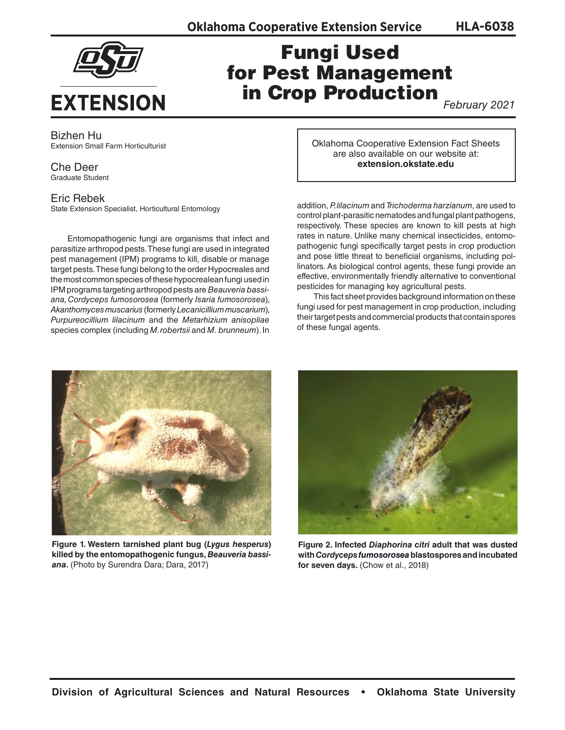**HLA-6038**



## Fungi Used for Pest Management in Crop Production

*February 2021*

Bizhen Hu Extension Small Farm Horticulturist

Che Deer Graduate Student

Eric Rebek

State Extension Specialist, Horticultural Entomology

Entomopathogenic fungi are organisms that infect and parasitize arthropod pests. These fungi are used in integrated pest management (IPM) programs to kill, disable or manage target pests. These fungi belong to the order Hypocreales and the most common species of these hypocrealean fungi used in IPM programs targeting arthropod pests are *Beauveria bassiana, Cordyceps fumosorosea* (formerly *Isaria fumosorosea*)*, Akanthomyces muscarius* (formerly *Lecanicillium muscarium*)*, Purpureocillium lilacinum* and the *Metarhizium anisopliae*  species complex (including *M. robertsii* and *M. brunneum*). In Oklahoma Cooperative Extension Fact Sheets are also available on our website at: **extension.okstate.edu**

addition, *P. lilacinum* and *Trichoderma harzianum*, are used to control plant-parasitic nematodes and fungal plant pathogens, respectively. These species are known to kill pests at high rates in nature. Unlike many chemical insecticides, entomopathogenic fungi specifically target pests in crop production and pose little threat to beneficial organisms, including pollinators. As biological control agents, these fungi provide an effective, environmentally friendly alternative to conventional pesticides for managing key agricultural pests.

This fact sheet provides background information on these fungi used for pest management in crop production, including their target pests and commercial products that contain spores of these fungal agents.



**Figure 1. Western tarnished plant bug (***Lygus hesperus***) killed by the entomopathogenic fungus,** *Beauveria bassiana***.** (Photo by Surendra Dara; Dara, 2017)



**Figure 2. Infected** *Diaphorina citri* **adult that was dusted with** *Cordyceps fumosorosea* **blastospores and incubated for seven days.** (Chow et al., 2018)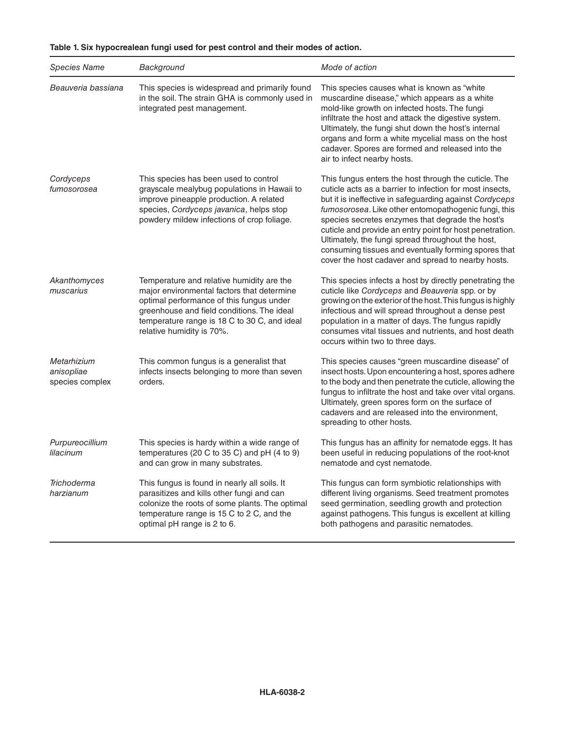| <b>Species Name</b>                          | Background                                                                                                                                                                                                                                                     | Mode of action                                                                                                                                                                                                                                                                                                                                                                                                                                                                                                         |
|----------------------------------------------|----------------------------------------------------------------------------------------------------------------------------------------------------------------------------------------------------------------------------------------------------------------|------------------------------------------------------------------------------------------------------------------------------------------------------------------------------------------------------------------------------------------------------------------------------------------------------------------------------------------------------------------------------------------------------------------------------------------------------------------------------------------------------------------------|
| Beauveria bassiana                           | This species is widespread and primarily found<br>in the soil. The strain GHA is commonly used in<br>integrated pest management.                                                                                                                               | This species causes what is known as "white<br>muscardine disease," which appears as a white<br>mold-like growth on infected hosts. The fungi<br>infiltrate the host and attack the digestive system.<br>Ultimately, the fungi shut down the host's internal<br>organs and form a white mycelial mass on the host<br>cadaver. Spores are formed and released into the<br>air to infect nearby hosts.                                                                                                                   |
| Cordyceps<br>fumosorosea                     | This species has been used to control<br>grayscale mealybug populations in Hawaii to<br>improve pineapple production. A related<br>species, Cordyceps javanica, helps stop<br>powdery mildew infections of crop foliage.                                       | This fungus enters the host through the cuticle. The<br>cuticle acts as a barrier to infection for most insects,<br>but it is ineffective in safeguarding against Cordyceps<br>fumosorosea. Like other entomopathogenic fungi, this<br>species secretes enzymes that degrade the host's<br>cuticle and provide an entry point for host penetration.<br>Ultimately, the fungi spread throughout the host,<br>consuming tissues and eventually forming spores that<br>cover the host cadaver and spread to nearby hosts. |
| Akanthomyces<br>muscarius                    | Temperature and relative humidity are the<br>major environmental factors that determine<br>optimal performance of this fungus under<br>greenhouse and field conditions. The ideal<br>temperature range is 18 C to 30 C, and ideal<br>relative humidity is 70%. | This species infects a host by directly penetrating the<br>cuticle like Cordyceps and Beauveria spp. or by<br>growing on the exterior of the host. This fungus is highly<br>infectious and will spread throughout a dense pest<br>population in a matter of days. The fungus rapidly<br>consumes vital tissues and nutrients, and host death<br>occurs within two to three days.                                                                                                                                       |
| Metarhizium<br>anisopliae<br>species complex | This common fungus is a generalist that<br>infects insects belonging to more than seven<br>orders.                                                                                                                                                             | This species causes "green muscardine disease" of<br>insect hosts. Upon encountering a host, spores adhere<br>to the body and then penetrate the cuticle, allowing the<br>fungus to infiltrate the host and take over vital organs.<br>Ultimately, green spores form on the surface of<br>cadavers and are released into the environment,<br>spreading to other hosts.                                                                                                                                                 |
| Purpureocillium<br>lilacinum                 | This species is hardy within a wide range of<br>temperatures (20 C to 35 C) and pH $(4 \text{ to } 9)$<br>and can grow in many substrates.                                                                                                                     | This fungus has an affinity for nematode eggs. It has<br>been useful in reducing populations of the root-knot<br>nematode and cyst nematode.                                                                                                                                                                                                                                                                                                                                                                           |
| Trichoderma<br>harzianum                     | This fungus is found in nearly all soils. It<br>parasitizes and kills other fungi and can<br>colonize the roots of some plants. The optimal<br>temperature range is 15 C to 2 C, and the<br>optimal pH range is 2 to 6.                                        | This fungus can form symbiotic relationships with<br>different living organisms. Seed treatment promotes<br>seed germination, seedling growth and protection<br>against pathogens. This fungus is excellent at killing<br>both pathogens and parasitic nematodes.                                                                                                                                                                                                                                                      |

## **Table 1. Six hypocrealean fungi used for pest control and their modes of action.**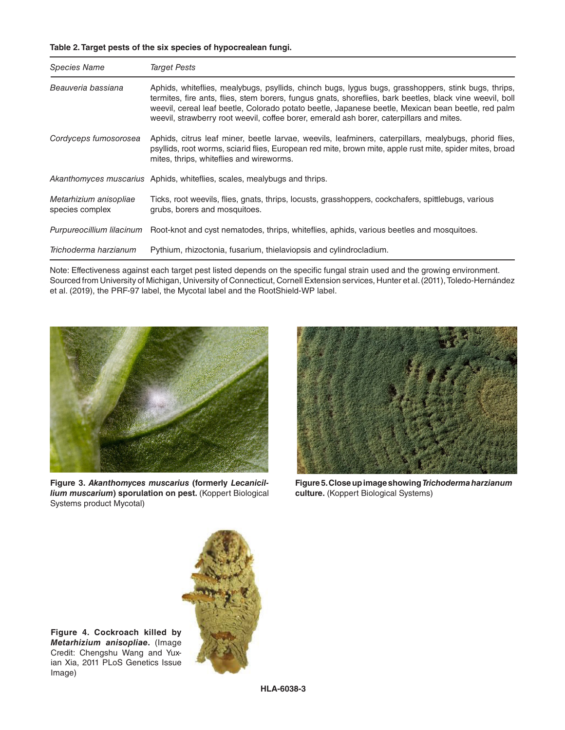## **Table 2. Target pests of the six species of hypocrealean fungi.**

| <b>Species Name</b>                       | <b>Target Pests</b>                                                                                                                                                                                                                                                                                                                                                                                               |  |
|-------------------------------------------|-------------------------------------------------------------------------------------------------------------------------------------------------------------------------------------------------------------------------------------------------------------------------------------------------------------------------------------------------------------------------------------------------------------------|--|
| Beauveria bassiana                        | Aphids, whiteflies, mealybugs, psyllids, chinch bugs, lygus bugs, grasshoppers, stink bugs, thrips,<br>termites, fire ants, flies, stem borers, fungus gnats, shoreflies, bark beetles, black vine weevil, boll<br>weevil, cereal leaf beetle, Colorado potato beetle, Japanese beetle, Mexican bean beetle, red palm<br>weevil, strawberry root weevil, coffee borer, emerald ash borer, caterpillars and mites. |  |
| Cordyceps fumosorosea                     | Aphids, citrus leaf miner, beetle larvae, weevils, leafminers, caterpillars, mealybugs, phorid flies,<br>psyllids, root worms, sciarid flies, European red mite, brown mite, apple rust mite, spider mites, broad<br>mites, thrips, whiteflies and wireworms.                                                                                                                                                     |  |
|                                           | <i>Akanthomyces muscarius</i> Aphids, whiteflies, scales, mealybugs and thrips.                                                                                                                                                                                                                                                                                                                                   |  |
| Metarhizium anisopliae<br>species complex | Ticks, root weevils, flies, gnats, thrips, locusts, grasshoppers, cockchafers, spittlebugs, various<br>grubs, borers and mosquitoes.                                                                                                                                                                                                                                                                              |  |
| Purpureocillium lilacinum                 | Root-knot and cyst nematodes, thrips, whiteflies, aphids, various beetles and mosquitoes.                                                                                                                                                                                                                                                                                                                         |  |
| Trichoderma harzianum                     | Pythium, rhizoctonia, fusarium, thielaviopsis and cylindrocladium.                                                                                                                                                                                                                                                                                                                                                |  |

Note: Effectiveness against each target pest listed depends on the specific fungal strain used and the growing environment. Sourced from University of Michigan, University of Connecticut, Cornell Extension services, Hunter et al. (2011), Toledo-Hernández et al. (2019), the PRF-97 label, the Mycotal label and the RootShield-WP label.



**Figure 3.** *Akanthomyces muscarius* **(formerly** *Lecanicillium muscarium***) sporulation on pest.** (Koppert Biological Systems product Mycotal)



**Figure 5. Close up image showing** *Trichoderma harzianum* **culture.** (Koppert Biological Systems)



**Figure 4. Cockroach killed by**  *Metarhizium anisopliae***.** (Image Credit: Chengshu Wang and Yuxian Xia, 2011 PLoS Genetics Issue Image)